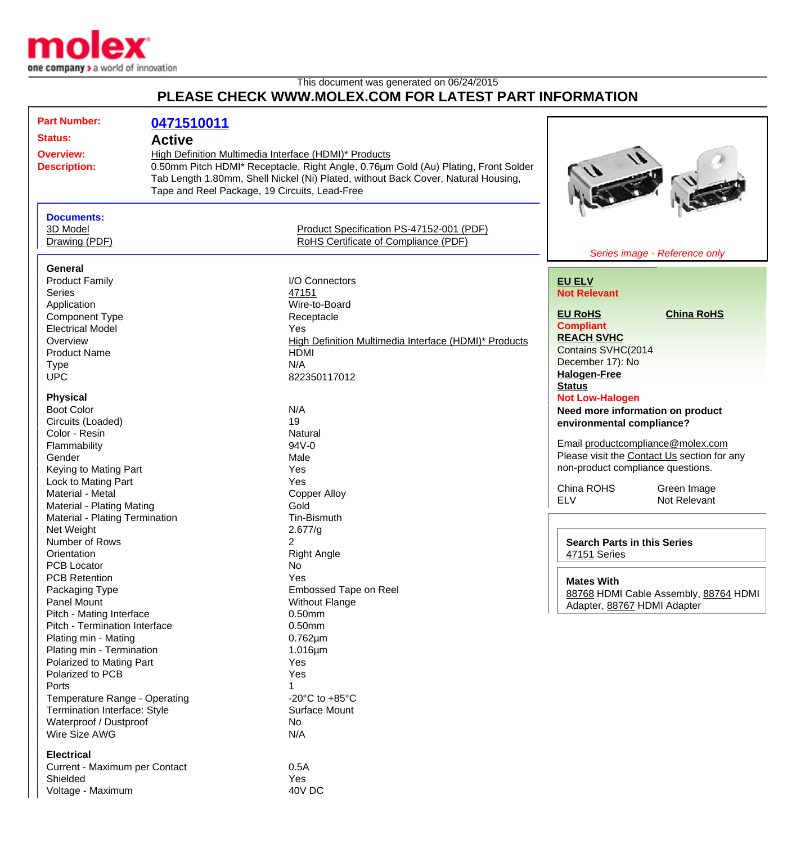

Shielded Yes Voltage - Maximum 40V DC

## This document was generated on 06/24/2015 **PLEASE CHECK WWW.MOLEX.COM FOR LATEST PART INFORMATION**

|                                                                                                                                                                                                                                                                                                                                                                                                                                                                                                                                                                                                                | 0471510011    |                                                                                                                                                                                                                                                                                                                                                                                                           |                                                                                                                                                                                                                                                                                                                                                                                                                                                                                                                                                                                                                         |
|----------------------------------------------------------------------------------------------------------------------------------------------------------------------------------------------------------------------------------------------------------------------------------------------------------------------------------------------------------------------------------------------------------------------------------------------------------------------------------------------------------------------------------------------------------------------------------------------------------------|---------------|-----------------------------------------------------------------------------------------------------------------------------------------------------------------------------------------------------------------------------------------------------------------------------------------------------------------------------------------------------------------------------------------------------------|-------------------------------------------------------------------------------------------------------------------------------------------------------------------------------------------------------------------------------------------------------------------------------------------------------------------------------------------------------------------------------------------------------------------------------------------------------------------------------------------------------------------------------------------------------------------------------------------------------------------------|
| <b>Status:</b>                                                                                                                                                                                                                                                                                                                                                                                                                                                                                                                                                                                                 | <b>Active</b> |                                                                                                                                                                                                                                                                                                                                                                                                           |                                                                                                                                                                                                                                                                                                                                                                                                                                                                                                                                                                                                                         |
| <b>Overview:</b><br><b>Description:</b><br>Tape and Reel Package, 19 Circuits, Lead-Free                                                                                                                                                                                                                                                                                                                                                                                                                                                                                                                       |               | High Definition Multimedia Interface (HDMI)* Products<br>0.50mm Pitch HDMI* Receptacle, Right Angle, 0.76µm Gold (Au) Plating, Front Solder<br>Tab Length 1.80mm, Shell Nickel (Ni) Plated, without Back Cover, Natural Housing,                                                                                                                                                                          |                                                                                                                                                                                                                                                                                                                                                                                                                                                                                                                                                                                                                         |
| <b>Documents:</b><br>3D Model<br>Drawing (PDF)                                                                                                                                                                                                                                                                                                                                                                                                                                                                                                                                                                 |               | Product Specification PS-47152-001 (PDF)<br>RoHS Certificate of Compliance (PDF)                                                                                                                                                                                                                                                                                                                          | Series image - Reference only                                                                                                                                                                                                                                                                                                                                                                                                                                                                                                                                                                                           |
| General                                                                                                                                                                                                                                                                                                                                                                                                                                                                                                                                                                                                        |               |                                                                                                                                                                                                                                                                                                                                                                                                           |                                                                                                                                                                                                                                                                                                                                                                                                                                                                                                                                                                                                                         |
| <b>Series</b><br>Application<br><b>Component Type</b><br><b>Electrical Model</b><br>Overview<br><b>Product Name</b><br><b>Type</b><br><b>UPC</b><br><b>Physical</b><br><b>Boot Color</b><br>Circuits (Loaded)<br>Color - Resin<br>Flammability<br>Gender<br>Keying to Mating Part<br>Lock to Mating Part<br>Material - Metal<br>Material - Plating Mating<br>Material - Plating Termination<br>Net Weight<br>Number of Rows<br>Orientation<br><b>PCB Locator</b><br><b>PCB Retention</b><br>Packaging Type<br>Panel Mount<br>Pitch - Mating Interface<br>Pitch - Termination Interface<br>Plating min - Mating |               | 47151<br>Wire-to-Board<br>Receptacle<br>Yes<br>High Definition Multimedia Interface (HDMI)* Products<br><b>HDMI</b><br>N/A<br>822350117012<br>N/A<br>19<br>Natural<br>94V-0<br>Male<br>Yes<br>Yes<br><b>Copper Alloy</b><br>Gold<br>Tin-Bismuth<br>2.677/g<br>$\overline{2}$<br><b>Right Angle</b><br>No<br>Yes<br>Embossed Tape on Reel<br><b>Without Flange</b><br>0.50mm<br>$0.50$ mm<br>$0.762 \mu m$ | <b>Not Relevant</b><br><b>EU RoHS</b><br><b>China RoHS</b><br><b>Compliant</b><br><b>REACH SVHC</b><br>Contains SVHC(2014<br>December 17): No<br><b>Halogen-Free</b><br><b>Status</b><br><b>Not Low-Halogen</b><br>Need more information on product<br>environmental compliance?<br>Email productcompliance@molex.com<br>Please visit the Contact Us section for any<br>non-product compliance questions.<br>China ROHS<br>Green Image<br><b>ELV</b><br>Not Relevant<br><b>Search Parts in this Series</b><br>47151 Series<br><b>Mates With</b><br>88768 HDMI Cable Assembly, 88764 HDMI<br>Adapter, 88767 HDMI Adapter |
| Plating min - Termination<br>Polarized to Mating Part<br>Polarized to PCB<br>Ports<br>Temperature Range - Operating<br>Termination Interface: Style<br>Waterproof / Dustproof<br>Wire Size AWG<br><b>Electrical</b><br>Current - Maximum per Contact                                                                                                                                                                                                                                                                                                                                                           |               | $1.016 \mu m$<br>Yes<br>Yes<br>$\mathbf 1$<br>-20 $^{\circ}$ C to +85 $^{\circ}$ C<br>Surface Mount<br>No<br>N/A<br>0.5A                                                                                                                                                                                                                                                                                  |                                                                                                                                                                                                                                                                                                                                                                                                                                                                                                                                                                                                                         |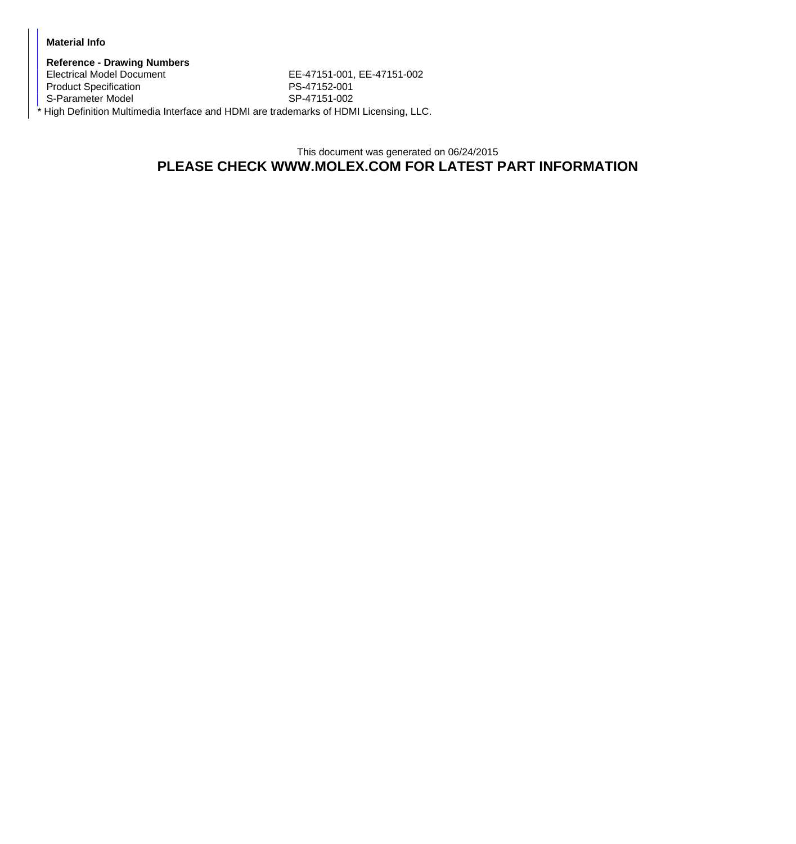## **Material Info**

**Reference - Drawing Numbers** EE-47151-001, EE-47151-002 Product Specification **PS-47152-001** S-Parameter Model SP-47151-002 \* High Definition Multimedia Interface and HDMI are trademarks of HDMI Licensing, LLC.

> This document was generated on 06/24/2015 **PLEASE CHECK WWW.MOLEX.COM FOR LATEST PART INFORMATION**